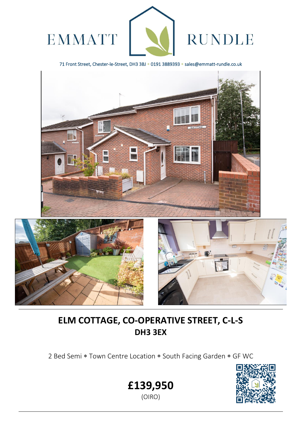

71 Front Street, Chester-le-Street, DH3 3BJ \* 0191 3889393 \* sales@emmatt-rundle.co.uk



# **ELM COTTAGE, CO-OPERATIVE STREET, C-L-S DH3 3EX**

2 Bed Semi \* Town Centre Location \* South Facing Garden \* GF WC





L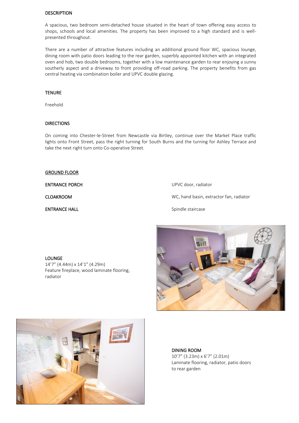### DESCRIPTION

A spacious, two bedroom semi-detached house situated in the heart of town offering easy access to shops, schools and local amenities. The property has been improved to a high standard and is wellpresented throughout.

There are a number of attractive features including an additional ground floor WC, spacious lounge, dining room with patio doors leading to the rear garden, superbly appointed kitchen with an integrated oven and hob, two double bedrooms, together with a low maintenance garden to rear enjoying a sunny southerly aspect and a driveway to front providing off-road parking. The property benefits from gas central heating via combination boiler and UPVC double glazing.

## **TENURE**

Freehold

## DIRECTIONS

On coming into Chester-le-Street from Newcastle via Birtley, continue over the Market Place traffic lights onto Front Street, pass the right turning for South Burns and the turning for Ashley Terrace and take the next right turn onto Co-operative Street.

#### GROUND FLOOR

ENTRANCE PORCH UPVC door, radiator

CLOAKROOM WC, hand basin, extractor fan, radiator

ENTRANCE HALL **ENTRANCE** HALL Spindle staircase







DINING ROOM 10'7" (3.23m) x 6'7" (2.01m) Laminate flooring, radiator, patio doors to rear garden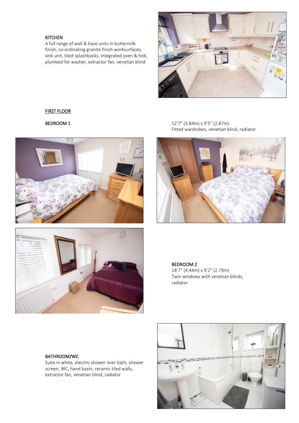## KITCHEN

A full range of wall & base units in buttermilk finish, co-ordinating granite finish worksurfaces, sink unit, tiled splashbacks, integrated oven & hob, plumbed for washer, extractor fan, venetian blind



## FIRST FLOOR





**BEDROOM 1** 12'7" (3.84m) x 9'5" (2.87m) Fitted wardrobes, venetian blind, radiator



BEDROOM 2

14'7" (4.44m) x 9'2" (2.79m) Twin windows with venetian blinds, radiator

BATHROOM/WC

Suite in white, electric shower over bath, shower screen, WC, hand basin, ceramic tiled walls, extractor fan, venetian blind, radiator